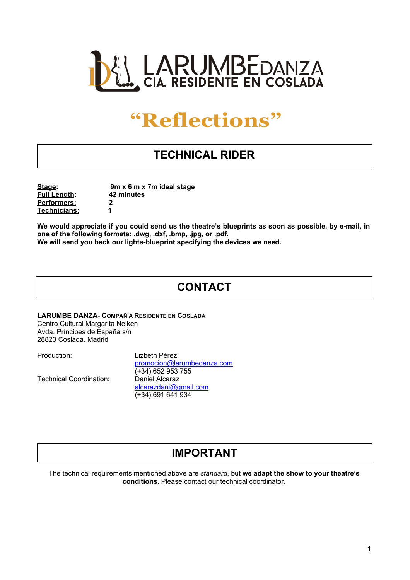

# **"Reflections"**

# **TECHNICAL RIDER**

**Full Length: 42 minutes Performers: 2 Technicians: 1**

**Stage: 9m x 6 m x 7m ideal stage**

We would appreciate if you could send us the theatre's blueprints as soon as possible, by e-mail, in **one of the following formats: .dwg, .dxf, .bmp, .jpg, or .pdf. We will send you back our lights-blueprint specifying the devices we need.**

## **CONTACT**

**LARUMBE DANZA- COMPAÑÍA RESIDENTE EN COSLADA**

Centro Cultural Margarita Nelken Avda. Príncipes de España s/n 28823 Coslada. Madrid

Technical Coordination: Daniel Alcaraz

Production: Lizbeth Pérez promocion@larumbedanza.com (+34) 652 953 755 alcarazdani@gmail.com (+34) 691 641 934

### **IMPORTANT**

The technical requirements mentioned above are *standard*, but **we adapt the show to your theatre's conditions**. Please contact our technical coordinator.